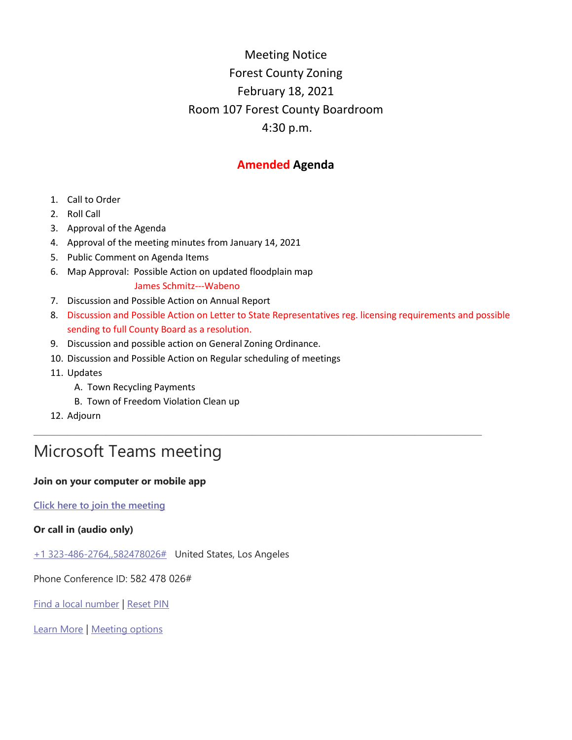## Meeting Notice Forest County Zoning February 18, 2021 Room 107 Forest County Boardroom 4:30 p.m.

### **Amended Agenda**

- 1. Call to Order
- 2. Roll Call
- 3. Approval of the Agenda
- 4. Approval of the meeting minutes from January 14, 2021
- 5. Public Comment on Agenda Items
- 6. Map Approval: Possible Action on updated floodplain map
	- James Schmitz---Wabeno
- 7. Discussion and Possible Action on Annual Report
- 8. Discussion and Possible Action on Letter to State Representatives reg. licensing requirements and possible sending to full County Board as a resolution.

\_\_\_\_\_\_\_\_\_\_\_\_\_\_\_\_\_\_\_\_\_\_\_\_\_\_\_\_\_\_\_\_\_\_\_\_\_\_\_\_\_\_\_\_\_\_\_\_\_\_\_\_\_\_\_\_\_\_\_\_\_\_\_\_\_\_\_\_\_\_\_\_\_\_\_\_\_\_\_\_

- 9. Discussion and possible action on General Zoning Ordinance.
- 10. Discussion and Possible Action on Regular scheduling of meetings
- 11. Updates
	- A. Town Recycling Payments
	- B. Town of Freedom Violation Clean up
- 12. Adjourn

# Microsoft Teams meeting

#### **Join on your computer or mobile app**

**[Click here to join the meeting](https://teams.microsoft.com/l/meetup-join/19%3ameeting_YzUwODVjYmEtYWQzZC00MzE2LWIyMGEtMjc5YWVlMDE2N2Rk%40thread.v2/0?context=%7b%22Tid%22%3a%222bed56a8-0007-4d47-a61a-a2dd0d93f8ec%22%2c%22Oid%22%3a%22bb0bd87d-3442-407d-b538-5d7a937d1516%22%7d)**

### **Or call in (audio only)**

[+1 323-486-2764,,582478026#](tel:+13234862764,,582478026# ) United States, Los Angeles

Phone Conference ID: 582 478 026#

[Find a local number](https://dialin.teams.microsoft.com/51617a7b-ba8a-4b29-8c96-3da1cd50eae6?id=582478026) | [Reset PIN](https://mysettings.lync.com/pstnconferencing)

[Learn More](https://aka.ms/JoinTeamsMeeting) | [Meeting options](https://teams.microsoft.com/meetingOptions/?organizerId=bb0bd87d-3442-407d-b538-5d7a937d1516&tenantId=2bed56a8-0007-4d47-a61a-a2dd0d93f8ec&threadId=19_meeting_YzUwODVjYmEtYWQzZC00MzE2LWIyMGEtMjc5YWVlMDE2N2Rk@thread.v2&messageId=0&language=en-US)